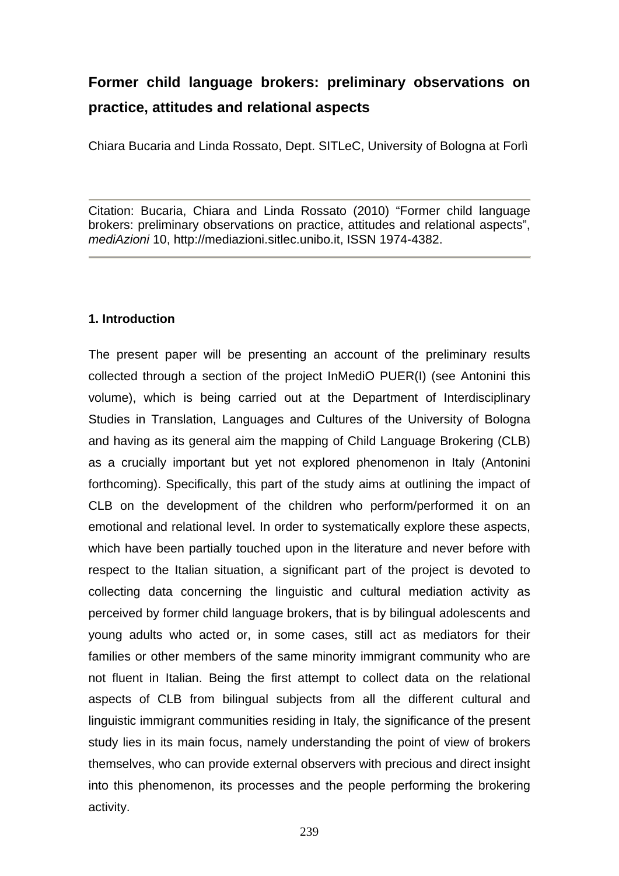# **Former child language brokers: preliminary observations on practice, attitudes and relational aspects**

Chiara Bucaria and Linda Rossato, Dept. SITLeC, University of Bologna at Forlì

Citation: Bucaria, Chiara and Linda Rossato (2010) "Former child language brokers: preliminary observations on practice, attitudes and relational aspects", *mediAzioni* 10, http://mediazioni.sitlec.unibo.it, ISSN 1974-4382.

#### **1. Introduction**

The present paper will be presenting an account of the preliminary results collected through a section of the project InMediO PUER(I) (see Antonini this volume), which is being carried out at the Department of Interdisciplinary Studies in Translation, Languages and Cultures of the University of Bologna and having as its general aim the mapping of Child Language Brokering (CLB) as a crucially important but yet not explored phenomenon in Italy (Antonini forthcoming). Specifically, this part of the study aims at outlining the impact of CLB on the development of the children who perform/performed it on an emotional and relational level. In order to systematically explore these aspects, which have been partially touched upon in the literature and never before with respect to the Italian situation, a significant part of the project is devoted to collecting data concerning the linguistic and cultural mediation activity as perceived by former child language brokers, that is by bilingual adolescents and young adults who acted or, in some cases, still act as mediators for their families or other members of the same minority immigrant community who are not fluent in Italian. Being the first attempt to collect data on the relational aspects of CLB from bilingual subjects from all the different cultural and linguistic immigrant communities residing in Italy, the significance of the present study lies in its main focus, namely understanding the point of view of brokers themselves, who can provide external observers with precious and direct insight into this phenomenon, its processes and the people performing the brokering activity.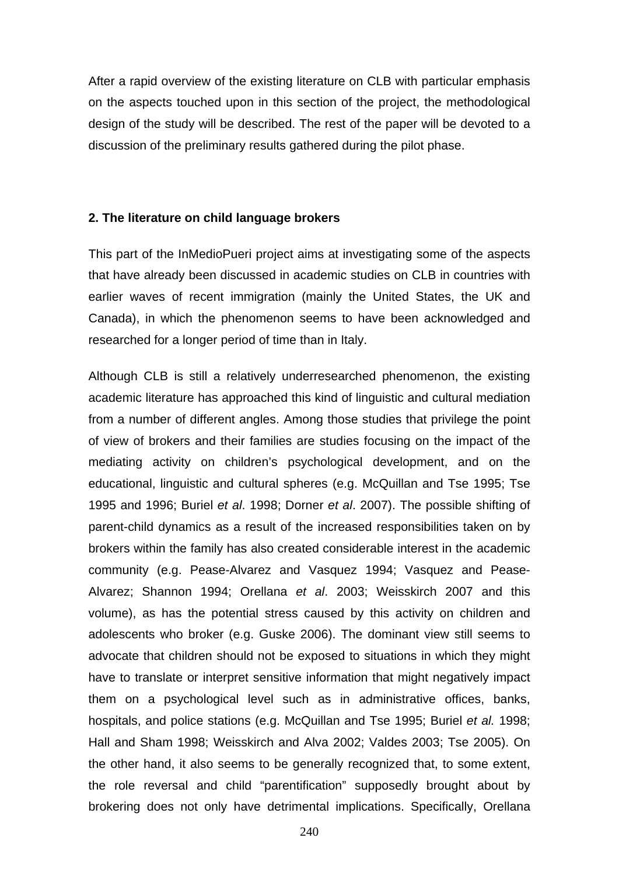After a rapid overview of the existing literature on CLB with particular emphasis on the aspects touched upon in this section of the project, the methodological design of the study will be described. The rest of the paper will be devoted to a discussion of the preliminary results gathered during the pilot phase.

#### **2. The literature on child language brokers**

This part of the InMedioPueri project aims at investigating some of the aspects that have already been discussed in academic studies on CLB in countries with earlier waves of recent immigration (mainly the United States, the UK and Canada), in which the phenomenon seems to have been acknowledged and researched for a longer period of time than in Italy.

Although CLB is still a relatively underresearched phenomenon, the existing academic literature has approached this kind of linguistic and cultural mediation from a number of different angles. Among those studies that privilege the point of view of brokers and their families are studies focusing on the impact of the mediating activity on children's psychological development, and on the educational, linguistic and cultural spheres (e.g. McQuillan and Tse 1995; Tse 1995 and 1996; Buriel *et al*. 1998; Dorner *et al*. 2007). The possible shifting of parent-child dynamics as a result of the increased responsibilities taken on by brokers within the family has also created considerable interest in the academic community (e.g. Pease-Alvarez and Vasquez 1994; Vasquez and Pease-Alvarez; Shannon 1994; Orellana *et al*. 2003; Weisskirch 2007 and this volume), as has the potential stress caused by this activity on children and adolescents who broker (e.g. Guske 2006). The dominant view still seems to advocate that children should not be exposed to situations in which they might have to translate or interpret sensitive information that might negatively impact them on a psychological level such as in administrative offices, banks, hospitals, and police stations (e.g. McQuillan and Tse 1995; Buriel *et al.* 1998; Hall and Sham 1998; Weisskirch and Alva 2002; Valdes 2003; Tse 2005). On the other hand, it also seems to be generally recognized that, to some extent, the role reversal and child "parentification" supposedly brought about by brokering does not only have detrimental implications. Specifically, Orellana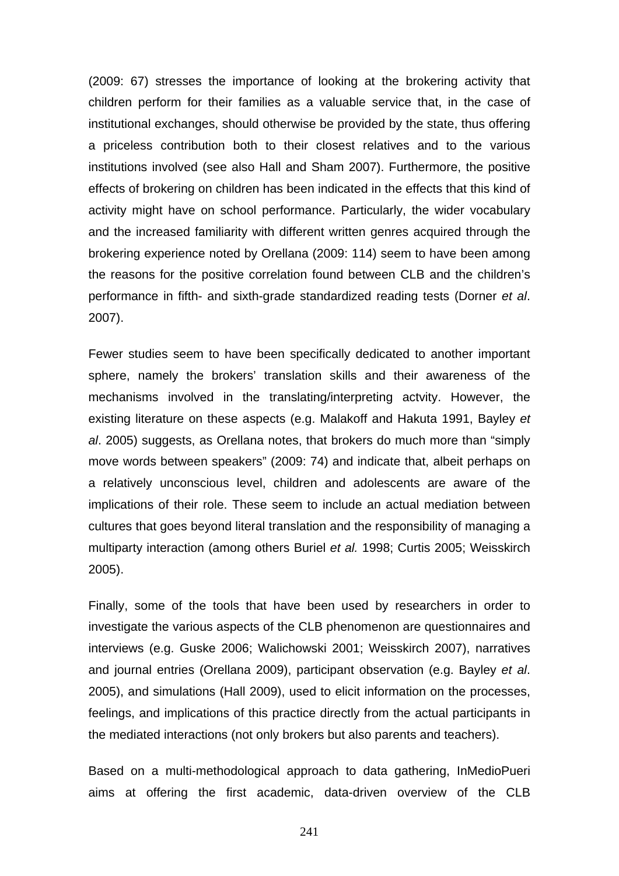(2009: 67) stresses the importance of looking at the brokering activity that children perform for their families as a valuable service that, in the case of institutional exchanges, should otherwise be provided by the state, thus offering a priceless contribution both to their closest relatives and to the various institutions involved (see also Hall and Sham 2007). Furthermore, the positive effects of brokering on children has been indicated in the effects that this kind of activity might have on school performance. Particularly, the wider vocabulary and the increased familiarity with different written genres acquired through the brokering experience noted by Orellana (2009: 114) seem to have been among the reasons for the positive correlation found between CLB and the children's performance in fifth- and sixth-grade standardized reading tests (Dorner *et al*. 2007).

Fewer studies seem to have been specifically dedicated to another important sphere, namely the brokers' translation skills and their awareness of the mechanisms involved in the translating/interpreting actvity. However, the existing literature on these aspects (e.g. Malakoff and Hakuta 1991, Bayley *et al*. 2005) suggests, as Orellana notes, that brokers do much more than "simply move words between speakers" (2009: 74) and indicate that, albeit perhaps on a relatively unconscious level, children and adolescents are aware of the implications of their role. These seem to include an actual mediation between cultures that goes beyond literal translation and the responsibility of managing a multiparty interaction (among others Buriel *et al.* 1998; Curtis 2005; Weisskirch 2005).

Finally, some of the tools that have been used by researchers in order to investigate the various aspects of the CLB phenomenon are questionnaires and interviews (e.g. Guske 2006; Walichowski 2001; Weisskirch 2007), narratives and journal entries (Orellana 2009), participant observation (e.g. Bayley *et al*. 2005), and simulations (Hall 2009), used to elicit information on the processes, feelings, and implications of this practice directly from the actual participants in the mediated interactions (not only brokers but also parents and teachers).

Based on a multi-methodological approach to data gathering, InMedioPueri aims at offering the first academic, data-driven overview of the CLB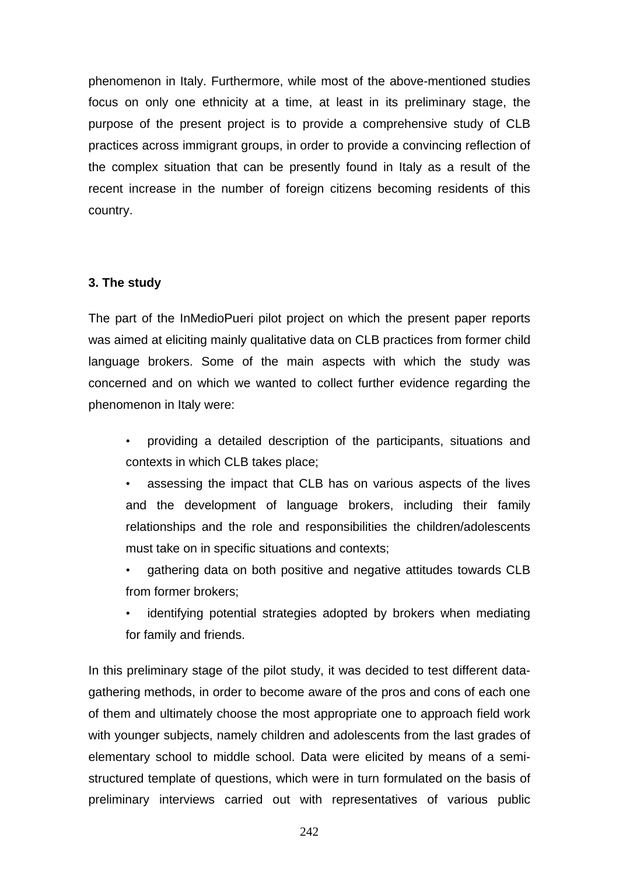phenomenon in Italy. Furthermore, while most of the above-mentioned studies focus on only one ethnicity at a time, at least in its preliminary stage, the purpose of the present project is to provide a comprehensive study of CLB practices across immigrant groups, in order to provide a convincing reflection of the complex situation that can be presently found in Italy as a result of the recent increase in the number of foreign citizens becoming residents of this country.

## **3. The study**

The part of the InMedioPueri pilot project on which the present paper reports was aimed at eliciting mainly qualitative data on CLB practices from former child language brokers. Some of the main aspects with which the study was concerned and on which we wanted to collect further evidence regarding the phenomenon in Italy were:

• providing a detailed description of the participants, situations and contexts in which CLB takes place;

• assessing the impact that CLB has on various aspects of the lives and the development of language brokers, including their family relationships and the role and responsibilities the children/adolescents must take on in specific situations and contexts;

- gathering data on both positive and negative attitudes towards CLB from former brokers;
- identifying potential strategies adopted by brokers when mediating for family and friends.

In this preliminary stage of the pilot study, it was decided to test different datagathering methods, in order to become aware of the pros and cons of each one of them and ultimately choose the most appropriate one to approach field work with younger subjects, namely children and adolescents from the last grades of elementary school to middle school. Data were elicited by means of a semistructured template of questions, which were in turn formulated on the basis of preliminary interviews carried out with representatives of various public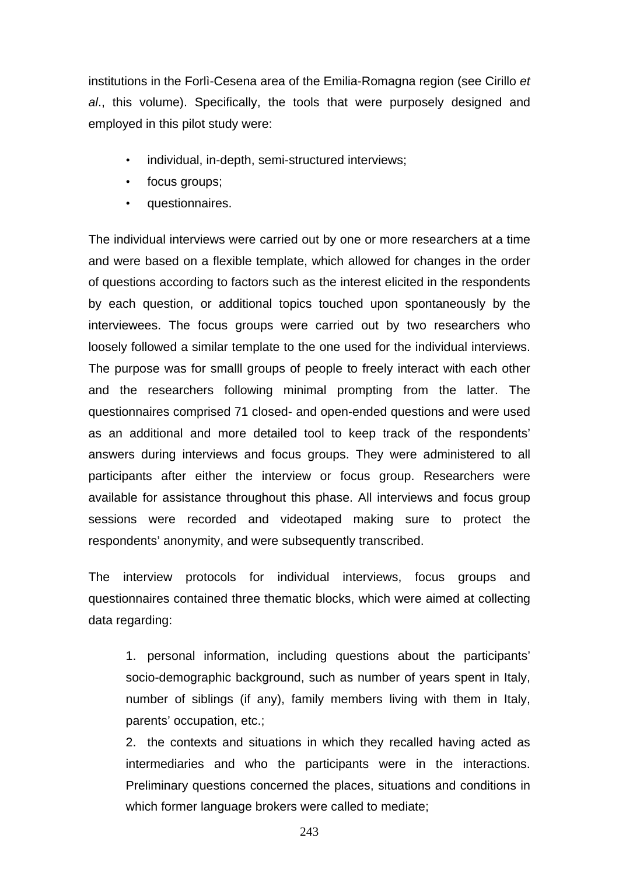institutions in the Forlì-Cesena area of the Emilia-Romagna region (see Cirillo *et al*., this volume). Specifically, the tools that were purposely designed and employed in this pilot study were:

- individual, in-depth, semi-structured interviews;
- focus groups;
- questionnaires.

The individual interviews were carried out by one or more researchers at a time and were based on a flexible template, which allowed for changes in the order of questions according to factors such as the interest elicited in the respondents by each question, or additional topics touched upon spontaneously by the interviewees. The focus groups were carried out by two researchers who loosely followed a similar template to the one used for the individual interviews. The purpose was for smalll groups of people to freely interact with each other and the researchers following minimal prompting from the latter. The questionnaires comprised 71 closed- and open-ended questions and were used as an additional and more detailed tool to keep track of the respondents' answers during interviews and focus groups. They were administered to all participants after either the interview or focus group. Researchers were available for assistance throughout this phase. All interviews and focus group sessions were recorded and videotaped making sure to protect the respondents' anonymity, and were subsequently transcribed.

The interview protocols for individual interviews, focus groups and questionnaires contained three thematic blocks, which were aimed at collecting data regarding:

1. personal information, including questions about the participants' socio-demographic background, such as number of years spent in Italy, number of siblings (if any), family members living with them in Italy, parents' occupation, etc.;

2. the contexts and situations in which they recalled having acted as intermediaries and who the participants were in the interactions. Preliminary questions concerned the places, situations and conditions in which former language brokers were called to mediate;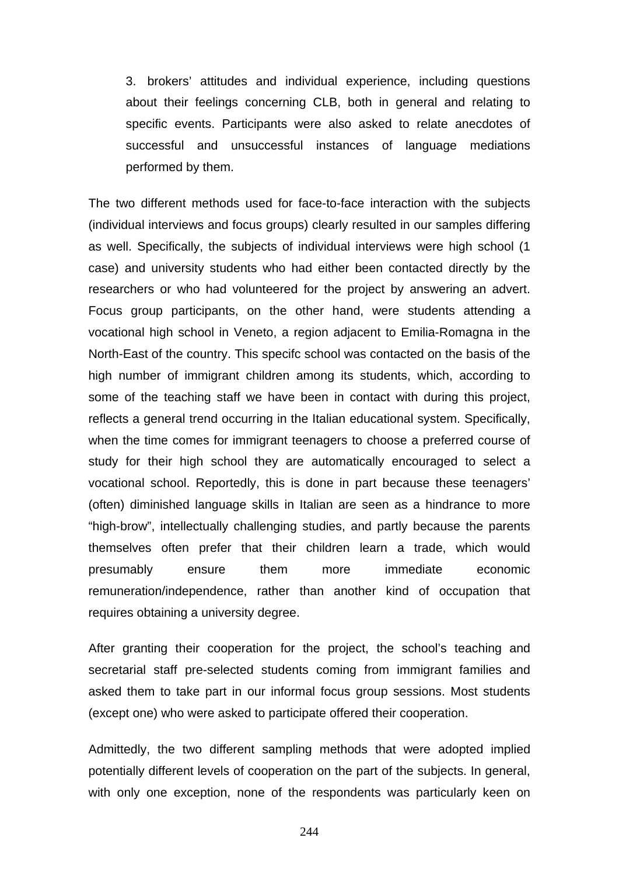3. brokers' attitudes and individual experience, including questions about their feelings concerning CLB, both in general and relating to specific events. Participants were also asked to relate anecdotes of successful and unsuccessful instances of language mediations performed by them.

The two different methods used for face-to-face interaction with the subjects (individual interviews and focus groups) clearly resulted in our samples differing as well. Specifically, the subjects of individual interviews were high school (1 case) and university students who had either been contacted directly by the researchers or who had volunteered for the project by answering an advert. Focus group participants, on the other hand, were students attending a vocational high school in Veneto, a region adjacent to Emilia-Romagna in the North-East of the country. This specifc school was contacted on the basis of the high number of immigrant children among its students, which, according to some of the teaching staff we have been in contact with during this project, reflects a general trend occurring in the Italian educational system. Specifically, when the time comes for immigrant teenagers to choose a preferred course of study for their high school they are automatically encouraged to select a vocational school. Reportedly, this is done in part because these teenagers' (often) diminished language skills in Italian are seen as a hindrance to more "high-brow", intellectually challenging studies, and partly because the parents themselves often prefer that their children learn a trade, which would presumably ensure them more immediate economic remuneration/independence, rather than another kind of occupation that requires obtaining a university degree.

After granting their cooperation for the project, the school's teaching and secretarial staff pre-selected students coming from immigrant families and asked them to take part in our informal focus group sessions. Most students (except one) who were asked to participate offered their cooperation.

Admittedly, the two different sampling methods that were adopted implied potentially different levels of cooperation on the part of the subjects. In general, with only one exception, none of the respondents was particularly keen on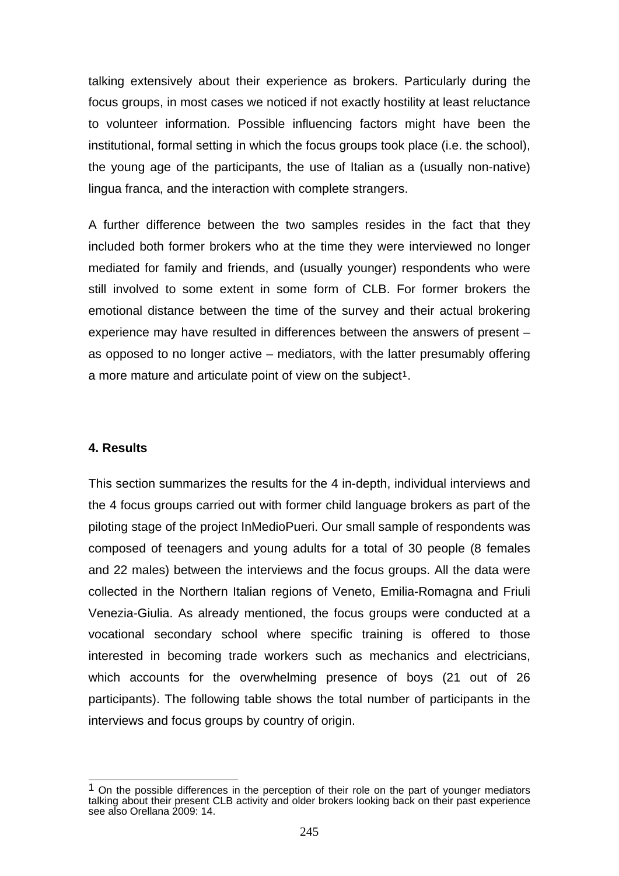talking extensively about their experience as brokers. Particularly during the focus groups, in most cases we noticed if not exactly hostility at least reluctance to volunteer information. Possible influencing factors might have been the institutional, formal setting in which the focus groups took place (i.e. the school), the young age of the participants, the use of Italian as a (usually non-native) lingua franca, and the interaction with complete strangers.

A further difference between the two samples resides in the fact that they included both former brokers who at the time they were interviewed no longer mediated for family and friends, and (usually younger) respondents who were still involved to some extent in some form of CLB. For former brokers the emotional distance between the time of the survey and their actual brokering experience may have resulted in differences between the answers of present – as opposed to no longer active – mediators, with the latter presumably offering a more mature and articulate point of view on the subject<sup>[1](#page-6-0)</sup>.

## **4. Results**

This section summarizes the results for the 4 in-depth, individual interviews and the 4 focus groups carried out with former child language brokers as part of the piloting stage of the project InMedioPueri. Our small sample of respondents was composed of teenagers and young adults for a total of 30 people (8 females and 22 males) between the interviews and the focus groups. All the data were collected in the Northern Italian regions of Veneto, Emilia-Romagna and Friuli Venezia-Giulia. As already mentioned, the focus groups were conducted at a vocational secondary school where specific training is offered to those interested in becoming trade workers such as mechanics and electricians, which accounts for the overwhelming presence of boys (21 out of 26 participants). The following table shows the total number of participants in the interviews and focus groups by country of origin.

<span id="page-6-0"></span> $\overline{\phantom{a}}$  $1$  On the possible differences in the perception of their role on the part of younger mediators talking about their present CLB activity and older brokers looking back on their past experience see also Orellana 2009: 14.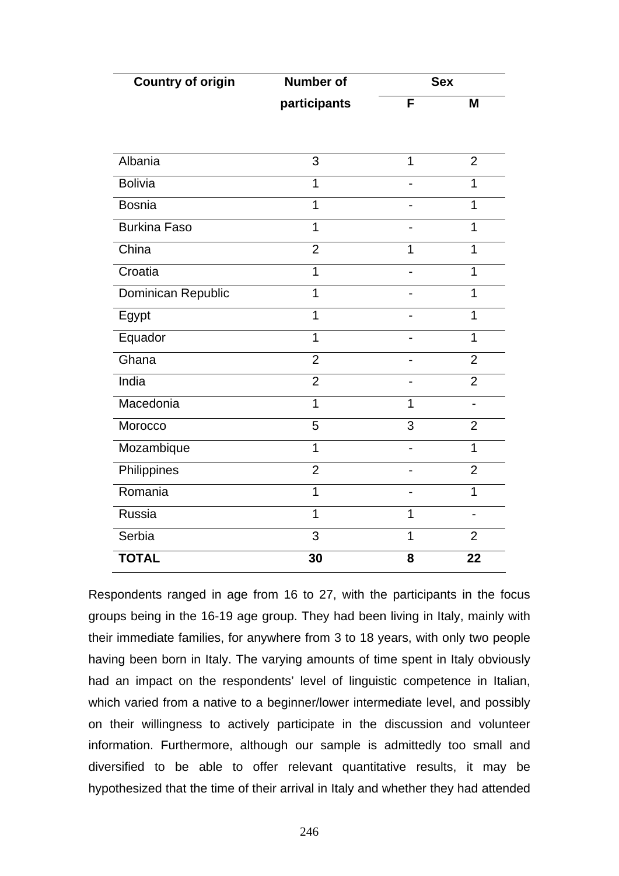| <b>Country of origin</b> | <b>Number of</b> | <b>Sex</b>     |                          |
|--------------------------|------------------|----------------|--------------------------|
|                          | participants     | F              | M                        |
|                          |                  |                |                          |
| Albania                  | 3                | $\overline{1}$ | $\overline{2}$           |
| <b>Bolivia</b>           | $\overline{1}$   |                | $\overline{1}$           |
|                          |                  |                |                          |
| <b>Bosnia</b>            | $\overline{1}$   |                | 1                        |
| <b>Burkina Faso</b>      | $\overline{1}$   |                | 1                        |
| China                    | $\overline{2}$   | 1              | 1                        |
| Croatia                  | $\overline{1}$   |                | 1                        |
| Dominican Republic       | 1                |                | 1                        |
| Egypt                    | $\mathbf 1$      |                | 1                        |
| Equador                  | $\overline{1}$   |                | $\overline{1}$           |
| Ghana                    | $\overline{2}$   |                | $\overline{2}$           |
| India                    | $\overline{2}$   |                | $\overline{2}$           |
| Macedonia                | 1                | 1              |                          |
| Morocco                  | 5                | $\overline{3}$ | $\overline{2}$           |
| Mozambique               | $\overline{1}$   | $\overline{a}$ | $\mathbf{1}$             |
| Philippines              | $\overline{2}$   | -              | $\overline{2}$           |
| Romania                  | 1                |                | $\mathbf{1}$             |
| Russia                   | $\overline{1}$   | 1              | $\overline{\phantom{a}}$ |
| Serbia                   | 3                | $\overline{1}$ | $\overline{2}$           |
| <b>TOTAL</b>             | 30               | 8              | 22                       |

Respondents ranged in age from 16 to 27, with the participants in the focus groups being in the 16-19 age group. They had been living in Italy, mainly with their immediate families, for anywhere from 3 to 18 years, with only two people having been born in Italy. The varying amounts of time spent in Italy obviously had an impact on the respondents' level of linguistic competence in Italian, which varied from a native to a beginner/lower intermediate level, and possibly on their willingness to actively participate in the discussion and volunteer information. Furthermore, although our sample is admittedly too small and diversified to be able to offer relevant quantitative results, it may be hypothesized that the time of their arrival in Italy and whether they had attended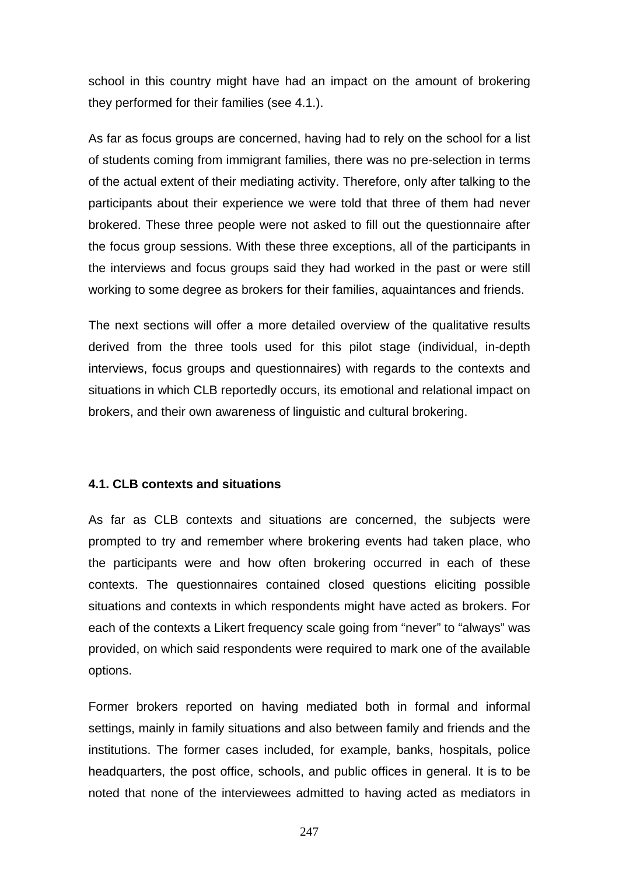school in this country might have had an impact on the amount of brokering they performed for their families (see 4.1.).

As far as focus groups are concerned, having had to rely on the school for a list of students coming from immigrant families, there was no pre-selection in terms of the actual extent of their mediating activity. Therefore, only after talking to the participants about their experience we were told that three of them had never brokered. These three people were not asked to fill out the questionnaire after the focus group sessions. With these three exceptions, all of the participants in the interviews and focus groups said they had worked in the past or were still working to some degree as brokers for their families, aquaintances and friends.

The next sections will offer a more detailed overview of the qualitative results derived from the three tools used for this pilot stage (individual, in-depth interviews, focus groups and questionnaires) with regards to the contexts and situations in which CLB reportedly occurs, its emotional and relational impact on brokers, and their own awareness of linguistic and cultural brokering.

## **4.1. CLB contexts and situations**

As far as CLB contexts and situations are concerned, the subjects were prompted to try and remember where brokering events had taken place, who the participants were and how often brokering occurred in each of these contexts. The questionnaires contained closed questions eliciting possible situations and contexts in which respondents might have acted as brokers. For each of the contexts a Likert frequency scale going from "never" to "always" was provided, on which said respondents were required to mark one of the available options.

Former brokers reported on having mediated both in formal and informal settings, mainly in family situations and also between family and friends and the institutions. The former cases included, for example, banks, hospitals, police headquarters, the post office, schools, and public offices in general. It is to be noted that none of the interviewees admitted to having acted as mediators in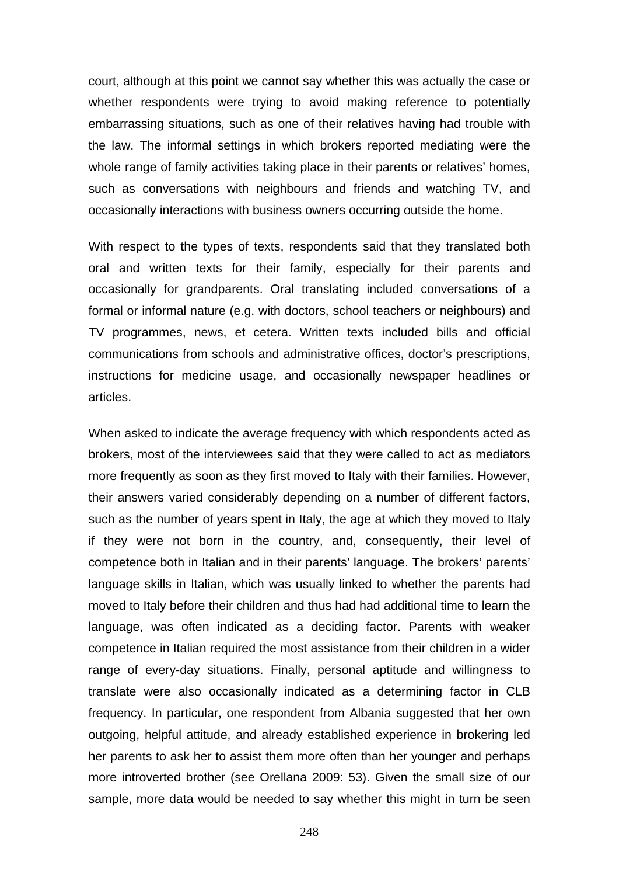court, although at this point we cannot say whether this was actually the case or whether respondents were trying to avoid making reference to potentially embarrassing situations, such as one of their relatives having had trouble with the law. The informal settings in which brokers reported mediating were the whole range of family activities taking place in their parents or relatives' homes, such as conversations with neighbours and friends and watching TV, and occasionally interactions with business owners occurring outside the home.

With respect to the types of texts, respondents said that they translated both oral and written texts for their family, especially for their parents and occasionally for grandparents. Oral translating included conversations of a formal or informal nature (e.g. with doctors, school teachers or neighbours) and TV programmes, news, et cetera. Written texts included bills and official communications from schools and administrative offices, doctor's prescriptions, instructions for medicine usage, and occasionally newspaper headlines or articles.

When asked to indicate the average frequency with which respondents acted as brokers, most of the interviewees said that they were called to act as mediators more frequently as soon as they first moved to Italy with their families. However, their answers varied considerably depending on a number of different factors, such as the number of years spent in Italy, the age at which they moved to Italy if they were not born in the country, and, consequently, their level of competence both in Italian and in their parents' language. The brokers' parents' language skills in Italian, which was usually linked to whether the parents had moved to Italy before their children and thus had had additional time to learn the language, was often indicated as a deciding factor. Parents with weaker competence in Italian required the most assistance from their children in a wider range of every-day situations. Finally, personal aptitude and willingness to translate were also occasionally indicated as a determining factor in CLB frequency. In particular, one respondent from Albania suggested that her own outgoing, helpful attitude, and already established experience in brokering led her parents to ask her to assist them more often than her younger and perhaps more introverted brother (see Orellana 2009: 53). Given the small size of our sample, more data would be needed to say whether this might in turn be seen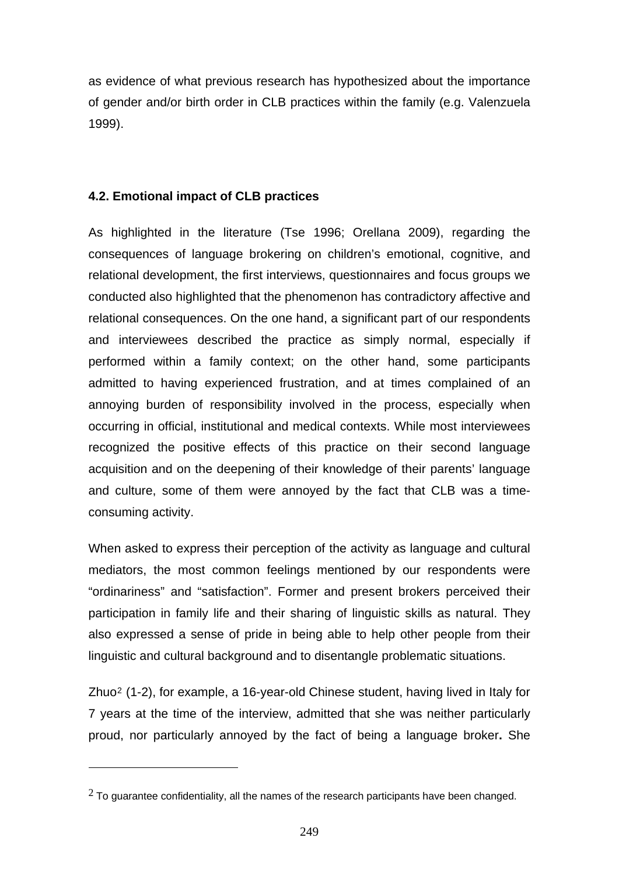as evidence of what previous research has hypothesized about the importance of gender and/or birth order in CLB practices within the family (e.g. Valenzuela 1999).

# **4.2. Emotional impact of CLB practices**

As highlighted in the literature (Tse 1996; Orellana 2009), regarding the consequences of language brokering on children's emotional, cognitive, and relational development, the first interviews, questionnaires and focus groups we conducted also highlighted that the phenomenon has contradictory affective and relational consequences. On the one hand, a significant part of our respondents and interviewees described the practice as simply normal, especially if performed within a family context; on the other hand, some participants admitted to having experienced frustration, and at times complained of an annoying burden of responsibility involved in the process, especially when occurring in official, institutional and medical contexts. While most interviewees recognized the positive effects of this practice on their second language acquisition and on the deepening of their knowledge of their parents' language and culture, some of them were annoyed by the fact that CLB was a timeconsuming activity.

When asked to express their perception of the activity as language and cultural mediators, the most common feelings mentioned by our respondents were "ordinariness" and "satisfaction". Former and present brokers perceived their participation in family life and their sharing of linguistic skills as natural. They also expressed a sense of pride in being able to help other people from their linguistic and cultural background and to disentangle problematic situations.

Zhuo[2](#page-10-0) (1-2), for example, a 16-year-old Chinese student, having lived in Italy for 7 years at the time of the interview, admitted that she was neither particularly proud, nor particularly annoyed by the fact of being a language broker**.** She

<span id="page-10-0"></span> $2$  To quarantee confidentiality, all the names of the research participants have been changed.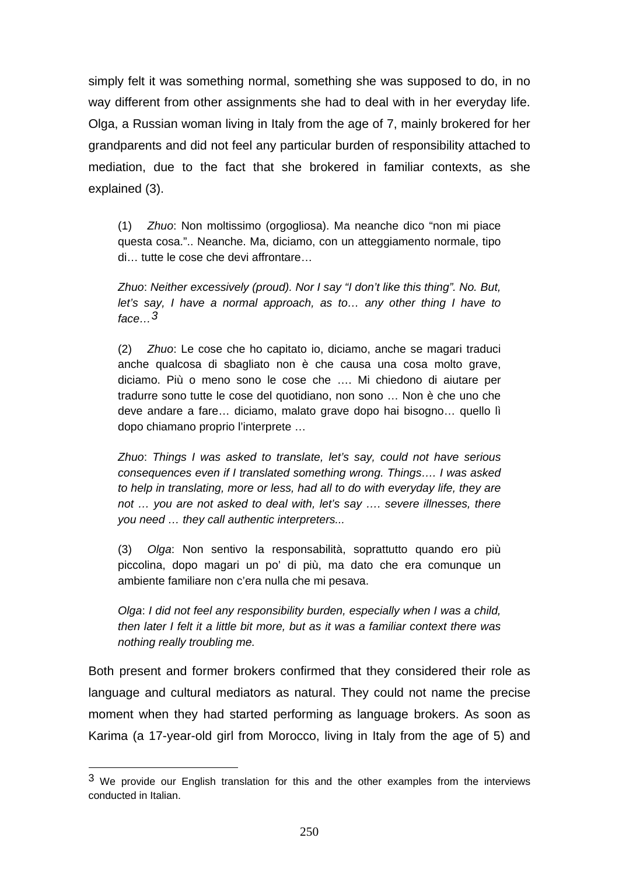simply felt it was something normal, something she was supposed to do, in no way different from other assignments she had to deal with in her everyday life. Olga, a Russian woman living in Italy from the age of 7, mainly brokered for her grandparents and did not feel any particular burden of responsibility attached to mediation, due to the fact that she brokered in familiar contexts, as she explained (3).

(1) *Zhuo*: Non moltissimo (orgogliosa). Ma neanche dico "non mi piace questa cosa.".. Neanche. Ma, diciamo, con un atteggiamento normale, tipo di… tutte le cose che devi affrontare…

*Zhuo*: *Neither excessively (proud). Nor I say "I don't like this thing". No. But, let's say, I have a normal approach, as to… any other thing I have to face…[3](#page-11-0)*

(2) *Zhuo*: Le cose che ho capitato io, diciamo, anche se magari traduci anche qualcosa di sbagliato non è che causa una cosa molto grave, diciamo. Più o meno sono le cose che …. Mi chiedono di aiutare per tradurre sono tutte le cose del quotidiano, non sono … Non è che uno che deve andare a fare… diciamo, malato grave dopo hai bisogno… quello lì dopo chiamano proprio l'interprete …

*Zhuo*: *Things I was asked to translate, let's say, could not have serious consequences even if I translated something wrong. Things…. I was asked to help in translating, more or less, had all to do with everyday life, they are not … you are not asked to deal with, let's say …. severe illnesses, there you need … they call authentic interpreters...* 

(3) *Olga*: Non sentivo la responsabilità, soprattutto quando ero più piccolina, dopo magari un po' di più, ma dato che era comunque un ambiente familiare non c'era nulla che mi pesava.

*Olga*: *I did not feel any responsibility burden, especially when I was a child, then later I felt it a little bit more, but as it was a familiar context there was nothing really troubling me.* 

Both present and former brokers confirmed that they considered their role as language and cultural mediators as natural. They could not name the precise moment when they had started performing as language brokers. As soon as Karima (a 17-year-old girl from Morocco, living in Italy from the age of 5) and

<span id="page-11-0"></span> $3$  We provide our English translation for this and the other examples from the interviews conducted in Italian.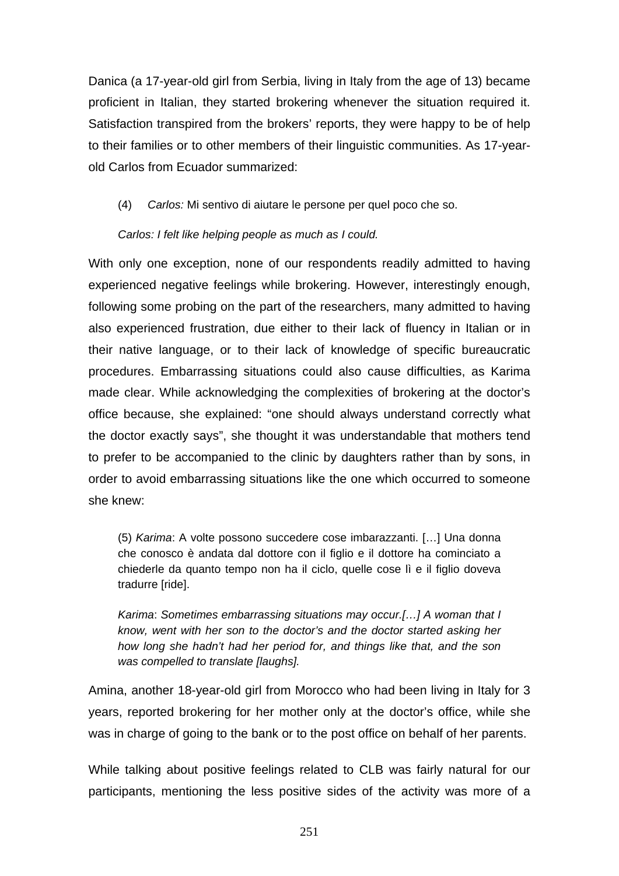Danica (a 17-year-old girl from Serbia, living in Italy from the age of 13) became proficient in Italian, they started brokering whenever the situation required it. Satisfaction transpired from the brokers' reports, they were happy to be of help to their families or to other members of their linguistic communities. As 17-yearold Carlos from Ecuador summarized:

(4) *Carlos:* Mi sentivo di aiutare le persone per quel poco che so.

# *Carlos: I felt like helping people as much as I could.*

With only one exception, none of our respondents readily admitted to having experienced negative feelings while brokering. However, interestingly enough, following some probing on the part of the researchers, many admitted to having also experienced frustration, due either to their lack of fluency in Italian or in their native language, or to their lack of knowledge of specific bureaucratic procedures. Embarrassing situations could also cause difficulties, as Karima made clear. While acknowledging the complexities of brokering at the doctor's office because, she explained: "one should always understand correctly what the doctor exactly says", she thought it was understandable that mothers tend to prefer to be accompanied to the clinic by daughters rather than by sons, in order to avoid embarrassing situations like the one which occurred to someone she knew:

(5) *Karima*: A volte possono succedere cose imbarazzanti. […] Una donna che conosco è andata dal dottore con il figlio e il dottore ha cominciato a chiederle da quanto tempo non ha il ciclo, quelle cose lì e il figlio doveva tradurre [ride].

*Karima*: *Sometimes embarrassing situations may occur.[…] A woman that I know, went with her son to the doctor's and the doctor started asking her how long she hadn't had her period for, and things like that, and the son was compelled to translate [laughs].* 

Amina, another 18-year-old girl from Morocco who had been living in Italy for 3 years, reported brokering for her mother only at the doctor's office, while she was in charge of going to the bank or to the post office on behalf of her parents.

While talking about positive feelings related to CLB was fairly natural for our participants, mentioning the less positive sides of the activity was more of a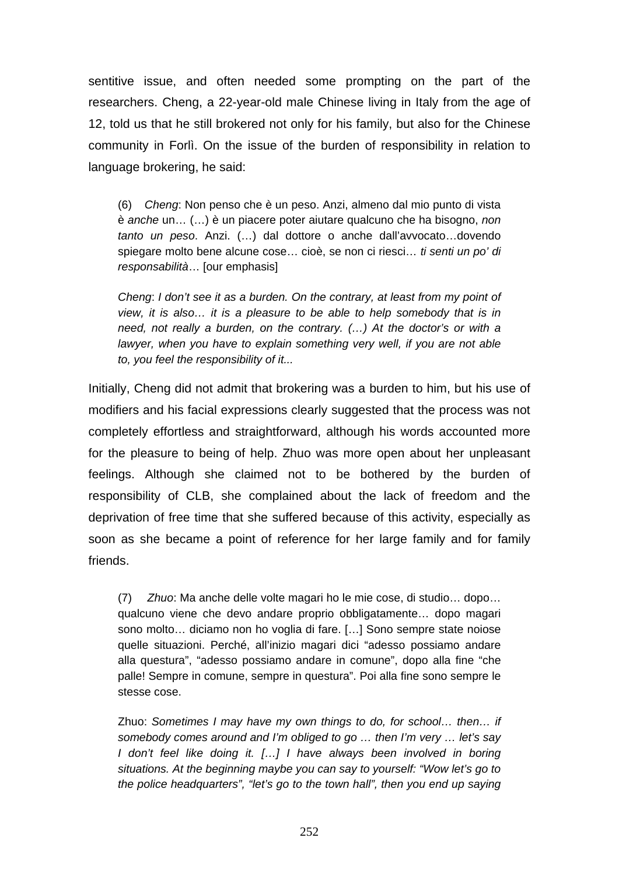sentitive issue, and often needed some prompting on the part of the researchers. Cheng, a 22-year-old male Chinese living in Italy from the age of 12, told us that he still brokered not only for his family, but also for the Chinese community in Forlì. On the issue of the burden of responsibility in relation to language brokering, he said:

(6) *Cheng*: Non penso che è un peso. Anzi, almeno dal mio punto di vista è *anche* un… (…) è un piacere poter aiutare qualcuno che ha bisogno, *non tanto un peso*. Anzi. (…) dal dottore o anche dall'avvocato…dovendo spiegare molto bene alcune cose… cioè, se non ci riesci… *ti senti un po' di responsabilità*… [our emphasis]

*Cheng*: *I don't see it as a burden. On the contrary, at least from my point of view, it is also… it is a pleasure to be able to help somebody that is in need, not really a burden, on the contrary. (…) At the doctor's or with a*  lawyer, when you have to explain something very well, if you are not able *to, you feel the responsibility of it...* 

Initially, Cheng did not admit that brokering was a burden to him, but his use of modifiers and his facial expressions clearly suggested that the process was not completely effortless and straightforward, although his words accounted more for the pleasure to being of help. Zhuo was more open about her unpleasant feelings. Although she claimed not to be bothered by the burden of responsibility of CLB, she complained about the lack of freedom and the deprivation of free time that she suffered because of this activity, especially as soon as she became a point of reference for her large family and for family friends.

(7) *Zhuo*: Ma anche delle volte magari ho le mie cose, di studio… dopo… qualcuno viene che devo andare proprio obbligatamente… dopo magari sono molto… diciamo non ho voglia di fare. […] Sono sempre state noiose quelle situazioni. Perché, all'inizio magari dici "adesso possiamo andare alla questura", "adesso possiamo andare in comune", dopo alla fine "che palle! Sempre in comune, sempre in questura". Poi alla fine sono sempre le stesse cose.

Zhuo: *Sometimes I may have my own things to do, for school… then… if somebody comes around and I'm obliged to go … then I'm very … let's say I* don't feel like doing it. [...] *I* have always been involved in boring *situations. At the beginning maybe you can say to yourself: "Wow let's go to the police headquarters", "let's go to the town hall", then you end up saying*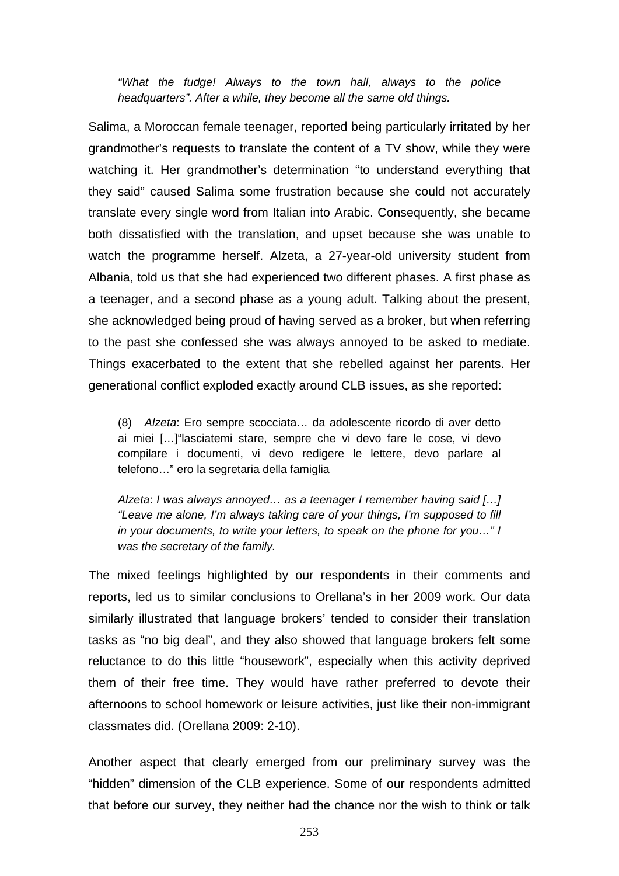*"What the fudge! Always to the town hall, always to the police headquarters". After a while, they become all the same old things.*

Salima, a Moroccan female teenager, reported being particularly irritated by her grandmother's requests to translate the content of a TV show, while they were watching it. Her grandmother's determination "to understand everything that they said" caused Salima some frustration because she could not accurately translate every single word from Italian into Arabic. Consequently, she became both dissatisfied with the translation, and upset because she was unable to watch the programme herself. Alzeta, a 27-year-old university student from Albania, told us that she had experienced two different phases. A first phase as a teenager, and a second phase as a young adult. Talking about the present, she acknowledged being proud of having served as a broker, but when referring to the past she confessed she was always annoyed to be asked to mediate. Things exacerbated to the extent that she rebelled against her parents. Her generational conflict exploded exactly around CLB issues, as she reported:

(8) *Alzeta*: Ero sempre scocciata… da adolescente ricordo di aver detto ai miei […]"lasciatemi stare, sempre che vi devo fare le cose, vi devo compilare i documenti, vi devo redigere le lettere, devo parlare al telefono…" ero la segretaria della famiglia

*Alzeta*: *I was always annoyed… as a teenager I remember having said […] "Leave me alone, I'm always taking care of your things, I'm supposed to fill in your documents, to write your letters, to speak on the phone for you…" I was the secretary of the family.*

The mixed feelings highlighted by our respondents in their comments and reports, led us to similar conclusions to Orellana's in her 2009 work. Our data similarly illustrated that language brokers' tended to consider their translation tasks as "no big deal", and they also showed that language brokers felt some reluctance to do this little "housework", especially when this activity deprived them of their free time. They would have rather preferred to devote their afternoons to school homework or leisure activities, just like their non-immigrant classmates did. (Orellana 2009: 2-10).

Another aspect that clearly emerged from our preliminary survey was the "hidden" dimension of the CLB experience. Some of our respondents admitted that before our survey, they neither had the chance nor the wish to think or talk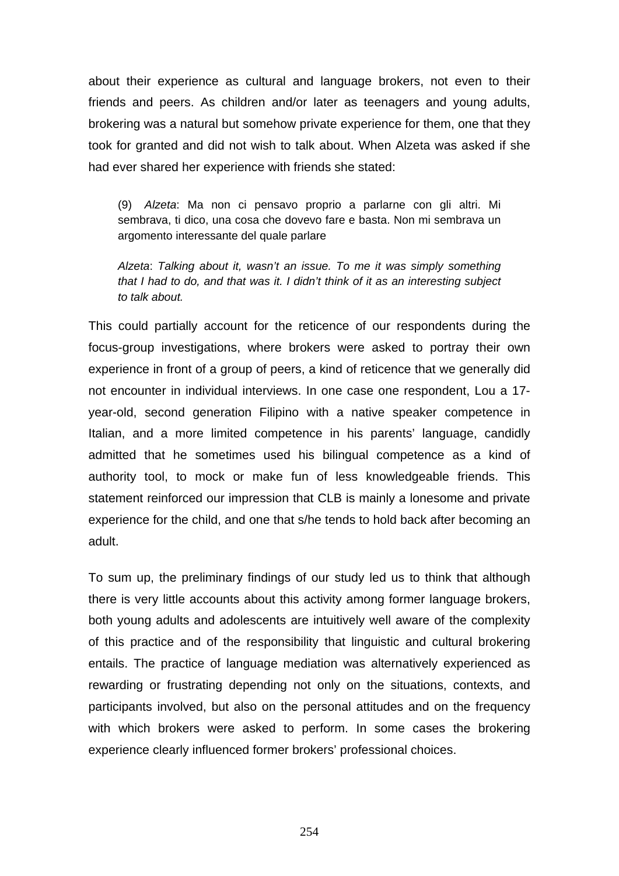about their experience as cultural and language brokers, not even to their friends and peers. As children and/or later as teenagers and young adults, brokering was a natural but somehow private experience for them, one that they took for granted and did not wish to talk about. When Alzeta was asked if she had ever shared her experience with friends she stated:

(9) *Alzeta*: Ma non ci pensavo proprio a parlarne con gli altri. Mi sembrava, ti dico, una cosa che dovevo fare e basta. Non mi sembrava un argomento interessante del quale parlare

*Alzeta*: *Talking about it, wasn't an issue. To me it was simply something that I had to do, and that was it. I didn't think of it as an interesting subject to talk about.* 

This could partially account for the reticence of our respondents during the focus-group investigations, where brokers were asked to portray their own experience in front of a group of peers, a kind of reticence that we generally did not encounter in individual interviews. In one case one respondent, Lou a 17 year-old, second generation Filipino with a native speaker competence in Italian, and a more limited competence in his parents' language, candidly admitted that he sometimes used his bilingual competence as a kind of authority tool, to mock or make fun of less knowledgeable friends. This statement reinforced our impression that CLB is mainly a lonesome and private experience for the child, and one that s/he tends to hold back after becoming an adult.

To sum up, the preliminary findings of our study led us to think that although there is very little accounts about this activity among former language brokers, both young adults and adolescents are intuitively well aware of the complexity of this practice and of the responsibility that linguistic and cultural brokering entails. The practice of language mediation was alternatively experienced as rewarding or frustrating depending not only on the situations, contexts, and participants involved, but also on the personal attitudes and on the frequency with which brokers were asked to perform. In some cases the brokering experience clearly influenced former brokers' professional choices.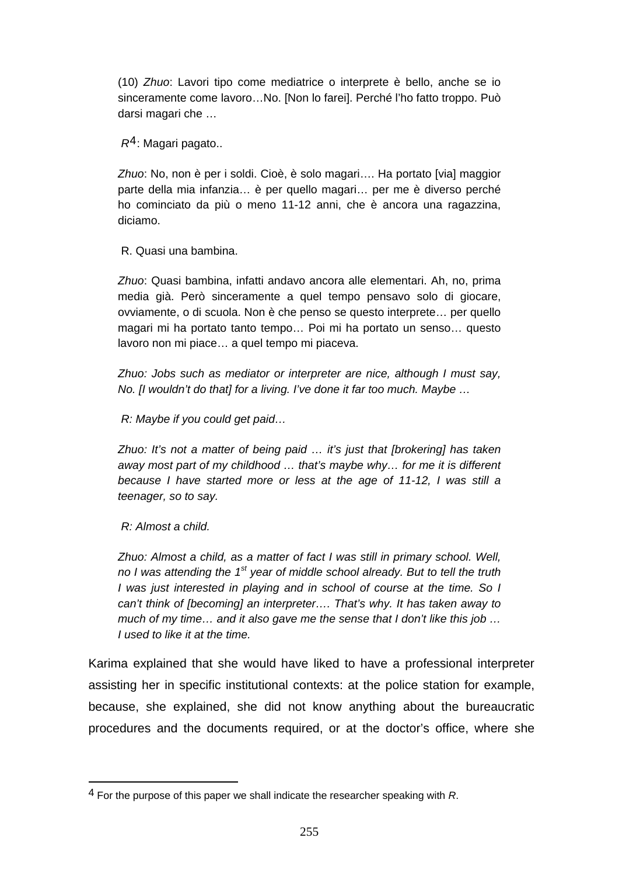(10) *Zhuo*: Lavori tipo come mediatrice o interprete è bello, anche se io sinceramente come lavoro…No. [Non lo farei]. Perché l'ho fatto troppo. Può darsi magari che …

 *R*[4](#page-16-0): Magari pagato..

*Zhuo*: No, non è per i soldi. Cioè, è solo magari…. Ha portato [via] maggior parte della mia infanzia… è per quello magari… per me è diverso perché ho cominciato da più o meno 11-12 anni, che è ancora una ragazzina, diciamo.

R. Quasi una bambina.

*Zhuo*: Quasi bambina, infatti andavo ancora alle elementari. Ah, no, prima media già. Però sinceramente a quel tempo pensavo solo di giocare, ovviamente, o di scuola. Non è che penso se questo interprete… per quello magari mi ha portato tanto tempo… Poi mi ha portato un senso… questo lavoro non mi piace… a quel tempo mi piaceva.

*Zhuo: Jobs such as mediator or interpreter are nice, although I must say, No. [I wouldn't do that] for a living. I've done it far too much. Maybe …* 

 *R: Maybe if you could get paid…* 

*Zhuo: It's not a matter of being paid … it's just that [brokering] has taken away most part of my childhood … that's maybe why… for me it is different because I have started more or less at the age of 11-12, I was still a teenager, so to say.* 

 *R: Almost a child.* 

1

*Zhuo: Almost a child, as a matter of fact I was still in primary school. Well, no I was attending the 1st year of middle school already. But to tell the truth I* was just interested in playing and in school of course at the time. So I *can't think of [becoming] an interpreter…. That's why. It has taken away to much of my time… and it also gave me the sense that I don't like this job … I used to like it at the time.* 

Karima explained that she would have liked to have a professional interpreter assisting her in specific institutional contexts: at the police station for example, because, she explained, she did not know anything about the bureaucratic procedures and the documents required, or at the doctor's office, where she

<span id="page-16-0"></span><sup>4</sup> For the purpose of this paper we shall indicate the researcher speaking with *R*.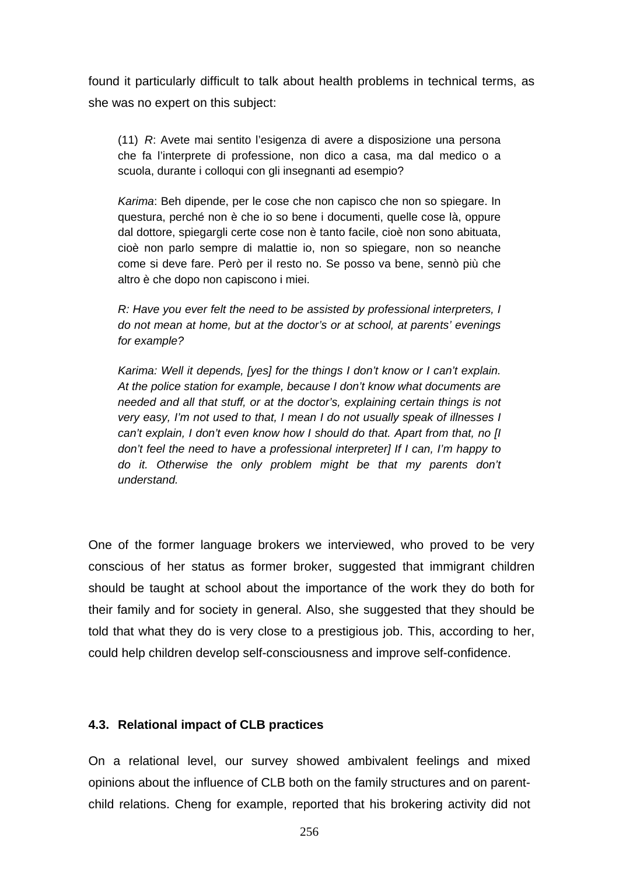found it particularly difficult to talk about health problems in technical terms, as she was no expert on this subject:

(11) *R*: Avete mai sentito l'esigenza di avere a disposizione una persona che fa l'interprete di professione, non dico a casa, ma dal medico o a scuola, durante i colloqui con gli insegnanti ad esempio?

*Karima*: Beh dipende, per le cose che non capisco che non so spiegare. In questura, perché non è che io so bene i documenti, quelle cose là, oppure dal dottore, spiegargli certe cose non è tanto facile, cioè non sono abituata, cioè non parlo sempre di malattie io, non so spiegare, non so neanche come si deve fare. Però per il resto no. Se posso va bene, sennò più che altro è che dopo non capiscono i miei.

*R: Have you ever felt the need to be assisted by professional interpreters, I do not mean at home, but at the doctor's or at school, at parents' evenings for example?* 

*Karima: Well it depends, [yes] for the things I don't know or I can't explain. At the police station for example, because I don't know what documents are needed and all that stuff, or at the doctor's, explaining certain things is not very easy, I'm not used to that, I mean I do not usually speak of illnesses I can't explain, I don't even know how I should do that. Apart from that, no [I don't feel the need to have a professional interpreter] If I can, I'm happy to do it. Otherwise the only problem might be that my parents don't understand.* 

One of the former language brokers we interviewed, who proved to be very conscious of her status as former broker, suggested that immigrant children should be taught at school about the importance of the work they do both for their family and for society in general. Also, she suggested that they should be told that what they do is very close to a prestigious job. This, according to her, could help children develop self-consciousness and improve self-confidence.

## **4.3. Relational impact of CLB practices**

On a relational level, our survey showed ambivalent feelings and mixed opinions about the influence of CLB both on the family structures and on parentchild relations. Cheng for example, reported that his brokering activity did not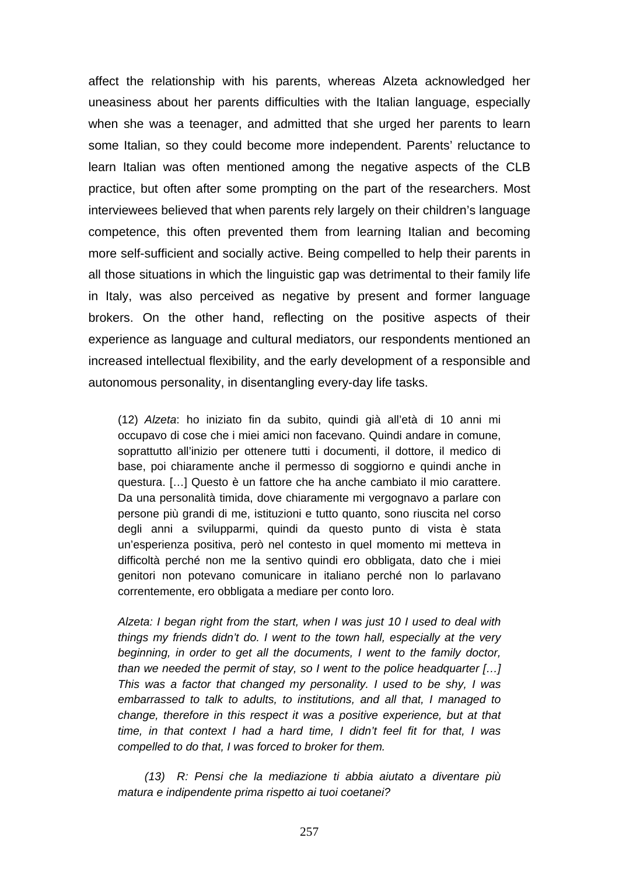affect the relationship with his parents, whereas Alzeta acknowledged her uneasiness about her parents difficulties with the Italian language, especially when she was a teenager, and admitted that she urged her parents to learn some Italian, so they could become more independent. Parents' reluctance to learn Italian was often mentioned among the negative aspects of the CLB practice, but often after some prompting on the part of the researchers. Most interviewees believed that when parents rely largely on their children's language competence, this often prevented them from learning Italian and becoming more self-sufficient and socially active. Being compelled to help their parents in all those situations in which the linguistic gap was detrimental to their family life in Italy, was also perceived as negative by present and former language brokers. On the other hand, reflecting on the positive aspects of their experience as language and cultural mediators, our respondents mentioned an increased intellectual flexibility, and the early development of a responsible and autonomous personality, in disentangling every-day life tasks.

(12) *Alzeta*: ho iniziato fin da subito, quindi già all'età di 10 anni mi occupavo di cose che i miei amici non facevano. Quindi andare in comune, soprattutto all'inizio per ottenere tutti i documenti, il dottore, il medico di base, poi chiaramente anche il permesso di soggiorno e quindi anche in questura. […] Questo è un fattore che ha anche cambiato il mio carattere. Da una personalità timida, dove chiaramente mi vergognavo a parlare con persone più grandi di me, istituzioni e tutto quanto, sono riuscita nel corso degli anni a svilupparmi, quindi da questo punto di vista è stata un'esperienza positiva, però nel contesto in quel momento mi metteva in difficoltà perché non me la sentivo quindi ero obbligata, dato che i miei genitori non potevano comunicare in italiano perché non lo parlavano correntemente, ero obbligata a mediare per conto loro.

*Alzeta: I began right from the start, when I was just 10 I used to deal with things my friends didn't do. I went to the town hall, especially at the very beginning, in order to get all the documents, I went to the family doctor, than we needed the permit of stay, so I went to the police headquarter […] This was a factor that changed my personality. I used to be shy, I was embarrassed to talk to adults, to institutions, and all that, I managed to change, therefore in this respect it was a positive experience, but at that time, in that context I had a hard time, I didn't feel fit for that, I was compelled to do that, I was forced to broker for them.* 

 *(13) R: Pensi che la mediazione ti abbia aiutato a diventare più matura e indipendente prima rispetto ai tuoi coetanei?*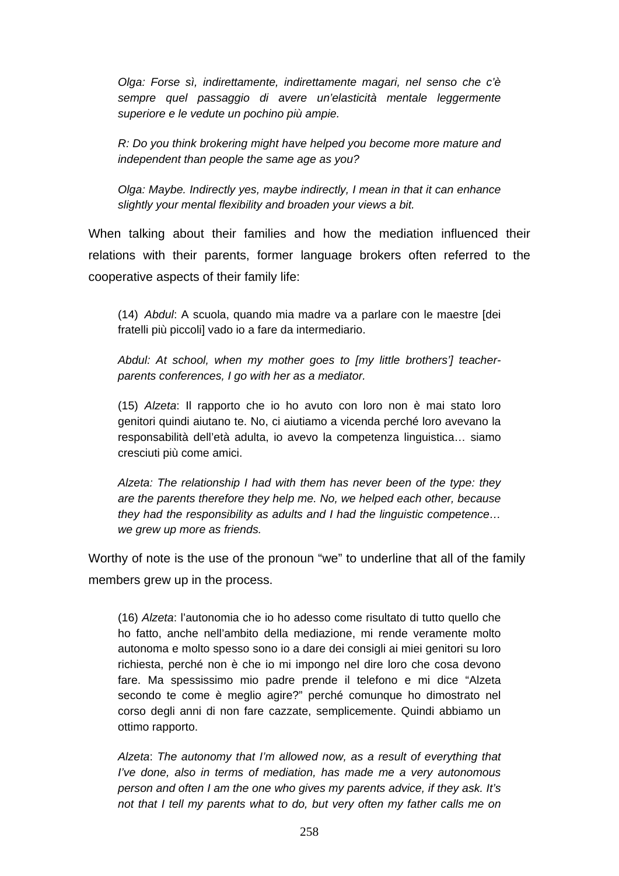*Olga: Forse sì, indirettamente, indirettamente magari, nel senso che c'è*  sempre quel passaggio di avere un'elasticità mentale leggermente *superiore e le vedute un pochino più ampie.* 

*R: Do you think brokering might have helped you become more mature and independent than people the same age as you?* 

*Olga: Maybe. Indirectly yes, maybe indirectly, I mean in that it can enhance slightly your mental flexibility and broaden your views a bit.* 

When talking about their families and how the mediation influenced their relations with their parents, former language brokers often referred to the cooperative aspects of their family life:

(14) *Abdul*: A scuola, quando mia madre va a parlare con le maestre [dei fratelli più piccoli] vado io a fare da intermediario.

*Abdul: At school, when my mother goes to [my little brothers'] teacherparents conferences, I go with her as a mediator.* 

(15) *Alzeta*: Il rapporto che io ho avuto con loro non è mai stato loro genitori quindi aiutano te. No, ci aiutiamo a vicenda perché loro avevano la responsabilità dell'età adulta, io avevo la competenza linguistica… siamo cresciuti più come amici.

*Alzeta: The relationship I had with them has never been of the type: they are the parents therefore they help me. No, we helped each other, because they had the responsibility as adults and I had the linguistic competence… we grew up more as friends.* 

Worthy of note is the use of the pronoun "we" to underline that all of the family members grew up in the process.

(16) *Alzeta*: l'autonomia che io ho adesso come risultato di tutto quello che ho fatto, anche nell'ambito della mediazione, mi rende veramente molto autonoma e molto spesso sono io a dare dei consigli ai miei genitori su loro richiesta, perché non è che io mi impongo nel dire loro che cosa devono fare. Ma spessissimo mio padre prende il telefono e mi dice "Alzeta secondo te come è meglio agire?" perché comunque ho dimostrato nel corso degli anni di non fare cazzate, semplicemente. Quindi abbiamo un ottimo rapporto.

*Alzeta*: *The autonomy that I'm allowed now, as a result of everything that I've done, also in terms of mediation, has made me a very autonomous person and often I am the one who gives my parents advice, if they ask. It's not that I tell my parents what to do, but very often my father calls me on*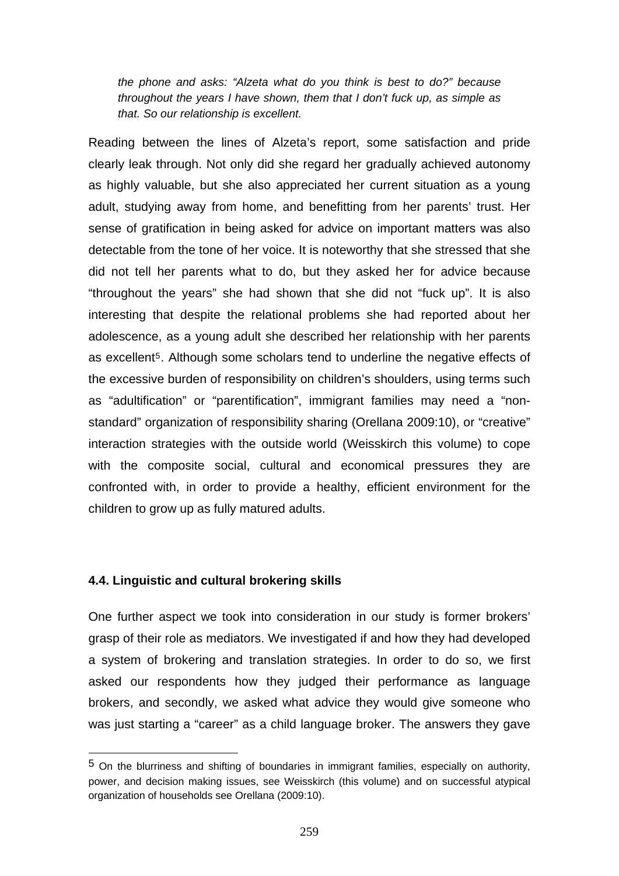*the phone and asks: "Alzeta what do you think is best to do?" because throughout the years I have shown, them that I don't fuck up, as simple as that. So our relationship is excellent.* 

Reading between the lines of Alzeta's report, some satisfaction and pride clearly leak through. Not only did she regard her gradually achieved autonomy as highly valuable, but she also appreciated her current situation as a young adult, studying away from home, and benefitting from her parents' trust. Her sense of gratification in being asked for advice on important matters was also detectable from the tone of her voice. It is noteworthy that she stressed that she did not tell her parents what to do, but they asked her for advice because "throughout the years" she had shown that she did not "fuck up". It is also interesting that despite the relational problems she had reported about her adolescence, as a young adult she described her relationship with her parents as excellent<sup>[5](#page-20-0)</sup>. Although some scholars tend to underline the negative effects of the excessive burden of responsibility on children's shoulders, using terms such as "adultification" or "parentification", immigrant families may need a "nonstandard" organization of responsibility sharing (Orellana 2009:10), or "creative" interaction strategies with the outside world (Weisskirch this volume) to cope with the composite social, cultural and economical pressures they are confronted with, in order to provide a healthy, efficient environment for the children to grow up as fully matured adults.

#### **4.4. Linguistic and cultural brokering skills**

1

One further aspect we took into consideration in our study is former brokers' grasp of their role as mediators. We investigated if and how they had developed a system of brokering and translation strategies. In order to do so, we first asked our respondents how they judged their performance as language brokers, and secondly, we asked what advice they would give someone who was just starting a "career" as a child language broker. The answers they gave

<span id="page-20-0"></span><sup>5</sup> On the blurriness and shifting of boundaries in immigrant families, especially on authority, power, and decision making issues, see Weisskirch (this volume) and on successful atypical organization of households see Orellana (2009:10).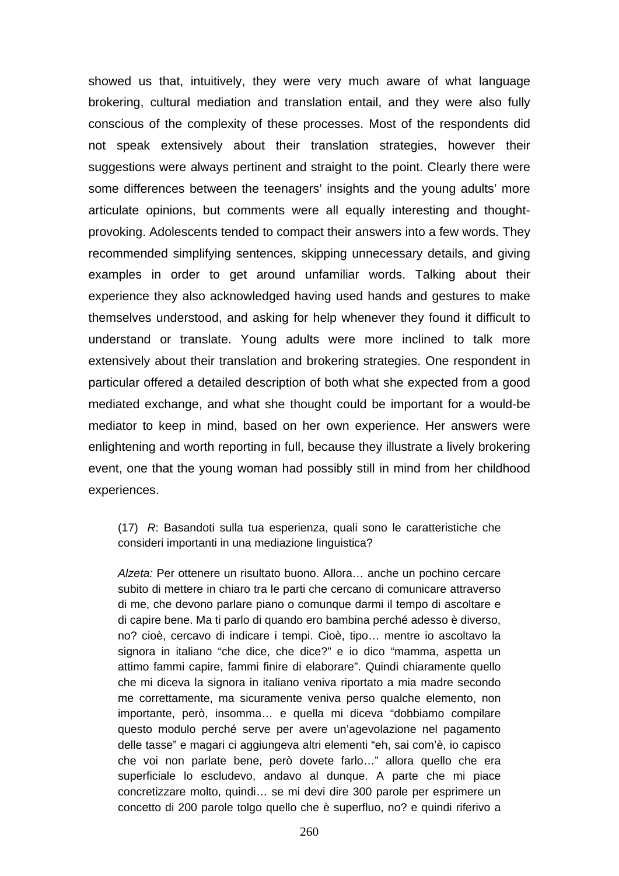showed us that, intuitively, they were very much aware of what language brokering, cultural mediation and translation entail, and they were also fully conscious of the complexity of these processes. Most of the respondents did not speak extensively about their translation strategies, however their suggestions were always pertinent and straight to the point. Clearly there were some differences between the teenagers' insights and the young adults' more articulate opinions, but comments were all equally interesting and thoughtprovoking. Adolescents tended to compact their answers into a few words. They recommended simplifying sentences, skipping unnecessary details, and giving examples in order to get around unfamiliar words. Talking about their experience they also acknowledged having used hands and gestures to make themselves understood, and asking for help whenever they found it difficult to understand or translate. Young adults were more inclined to talk more extensively about their translation and brokering strategies. One respondent in particular offered a detailed description of both what she expected from a good mediated exchange, and what she thought could be important for a would-be mediator to keep in mind, based on her own experience. Her answers were enlightening and worth reporting in full, because they illustrate a lively brokering event, one that the young woman had possibly still in mind from her childhood experiences.

(17) *R*: Basandoti sulla tua esperienza, quali sono le caratteristiche che consideri importanti in una mediazione linguistica?

*Alzeta:* Per ottenere un risultato buono. Allora… anche un pochino cercare subito di mettere in chiaro tra le parti che cercano di comunicare attraverso di me, che devono parlare piano o comunque darmi il tempo di ascoltare e di capire bene. Ma ti parlo di quando ero bambina perché adesso è diverso, no? cioè, cercavo di indicare i tempi. Cioè, tipo… mentre io ascoltavo la signora in italiano "che dice, che dice?" e io dico "mamma, aspetta un attimo fammi capire, fammi finire di elaborare". Quindi chiaramente quello che mi diceva la signora in italiano veniva riportato a mia madre secondo me correttamente, ma sicuramente veniva perso qualche elemento, non importante, però, insomma… e quella mi diceva "dobbiamo compilare questo modulo perché serve per avere un'agevolazione nel pagamento delle tasse" e magari ci aggiungeva altri elementi "eh, sai com'è, io capisco che voi non parlate bene, però dovete farlo…" allora quello che era superficiale lo escludevo, andavo al dunque. A parte che mi piace concretizzare molto, quindi… se mi devi dire 300 parole per esprimere un concetto di 200 parole tolgo quello che è superfluo, no? e quindi riferivo a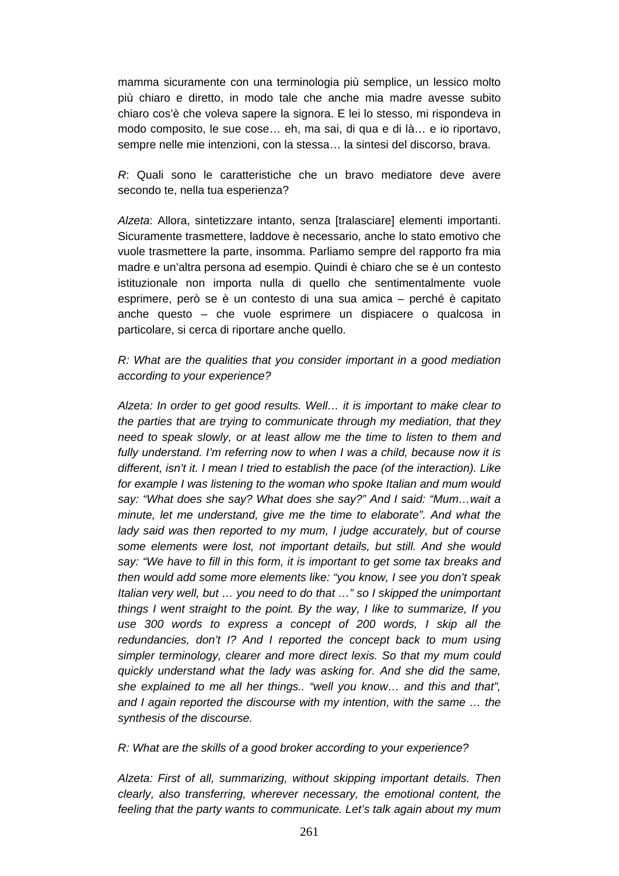mamma sicuramente con una terminologia più semplice, un lessico molto più chiaro e diretto, in modo tale che anche mia madre avesse subito chiaro cos'è che voleva sapere la signora. E lei lo stesso, mi rispondeva in modo composito, le sue cose… eh, ma sai, di qua e di là… e io riportavo, sempre nelle mie intenzioni, con la stessa… la sintesi del discorso, brava.

*R*: Quali sono le caratteristiche che un bravo mediatore deve avere secondo te, nella tua esperienza?

*Alzeta*: Allora, sintetizzare intanto, senza [tralasciare] elementi importanti. Sicuramente trasmettere, laddove è necessario, anche lo stato emotivo che vuole trasmettere la parte, insomma. Parliamo sempre del rapporto fra mia madre e un'altra persona ad esempio. Quindi è chiaro che se è un contesto istituzionale non importa nulla di quello che sentimentalmente vuole esprimere, però se è un contesto di una sua amica – perché è capitato anche questo – che vuole esprimere un dispiacere o qualcosa in particolare, si cerca di riportare anche quello.

#### *R: What are the qualities that you consider important in a good mediation according to your experience?*

*Alzeta: In order to get good results. Well… it is important to make clear to the parties that are trying to communicate through my mediation, that they need to speak slowly, or at least allow me the time to listen to them and fully understand. I'm referring now to when I was a child, because now it is different, isn't it. I mean I tried to establish the pace (of the interaction). Like for example I was listening to the woman who spoke Italian and mum would say: "What does she say? What does she say?" And I said: "Mum…wait a minute, let me understand, give me the time to elaborate". And what the lady said was then reported to my mum, I judge accurately, but of course some elements were lost, not important details, but still. And she would say: "We have to fill in this form, it is important to get some tax breaks and then would add some more elements like: "you know, I see you don't speak Italian very well, but … you need to do that …" so I skipped the unimportant things I went straight to the point. By the way, I like to summarize, If you use 300 words to express a concept of 200 words, I skip all the redundancies, don't I? And I reported the concept back to mum using simpler terminology, clearer and more direct lexis. So that my mum could quickly understand what the lady was asking for. And she did the same, she explained to me all her things.. "well you know… and this and that", and I again reported the discourse with my intention, with the same … the synthesis of the discourse.* 

#### *R: What are the skills of a good broker according to your experience?*

*Alzeta: First of all, summarizing, without skipping important details. Then clearly, also transferring, wherever necessary, the emotional content, the feeling that the party wants to communicate. Let's talk again about my mum*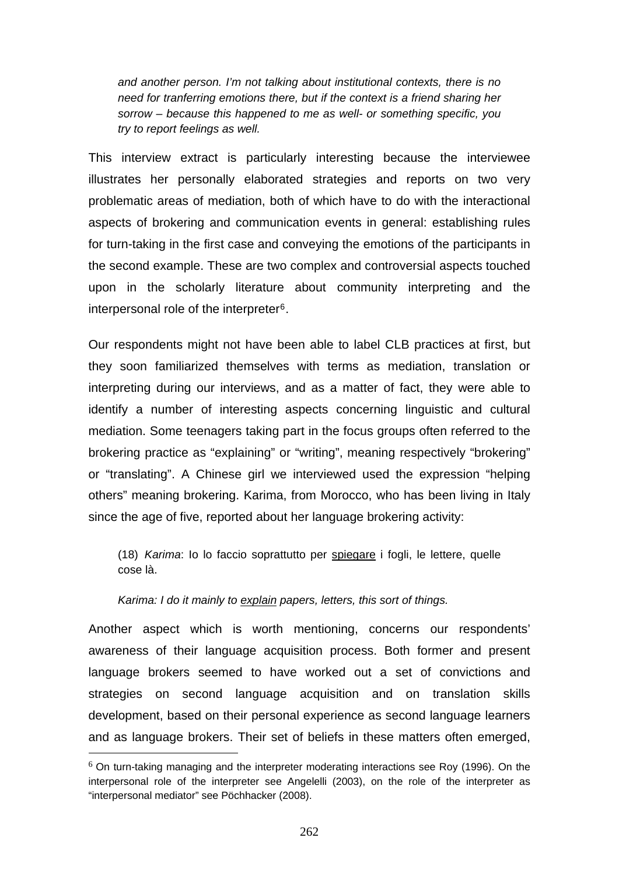*and another person. I'm not talking about institutional contexts, there is no need for tranferring emotions there, but if the context is a friend sharing her sorrow – because this happened to me as well- or something specific, you try to report feelings as well.* 

This interview extract is particularly interesting because the interviewee illustrates her personally elaborated strategies and reports on two very problematic areas of mediation, both of which have to do with the interactional aspects of brokering and communication events in general: establishing rules for turn-taking in the first case and conveying the emotions of the participants in the second example. These are two complex and controversial aspects touched upon in the scholarly literature about community interpreting and the interpersonal role of the interpreter[6](#page-23-0).

Our respondents might not have been able to label CLB practices at first, but they soon familiarized themselves with terms as mediation, translation or interpreting during our interviews, and as a matter of fact, they were able to identify a number of interesting aspects concerning linguistic and cultural mediation. Some teenagers taking part in the focus groups often referred to the brokering practice as "explaining" or "writing", meaning respectively "brokering" or "translating". A Chinese girl we interviewed used the expression "helping others" meaning brokering. Karima, from Morocco, who has been living in Italy since the age of five, reported about her language brokering activity:

(18) *Karima*: Io lo faccio soprattutto per spiegare i fogli, le lettere, quelle cose là.

## *Karima: I do it mainly to explain papers, letters, this sort of things.*

1

Another aspect which is worth mentioning, concerns our respondents' awareness of their language acquisition process. Both former and present language brokers seemed to have worked out a set of convictions and strategies on second language acquisition and on translation skills development, based on their personal experience as second language learners and as language brokers. Their set of beliefs in these matters often emerged,

<span id="page-23-0"></span> $6$  On turn-taking managing and the interpreter moderating interactions see Roy (1996). On the interpersonal role of the interpreter see Angelelli (2003), on the role of the interpreter as "interpersonal mediator" see Pöchhacker (2008).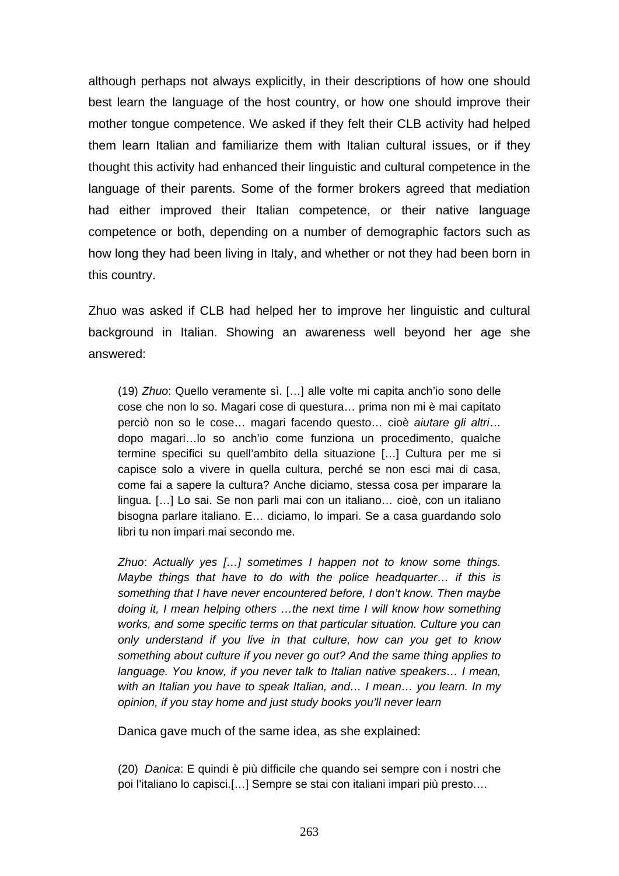although perhaps not always explicitly, in their descriptions of how one should best learn the language of the host country, or how one should improve their mother tongue competence. We asked if they felt their CLB activity had helped them learn Italian and familiarize them with Italian cultural issues, or if they thought this activity had enhanced their linguistic and cultural competence in the language of their parents. Some of the former brokers agreed that mediation had either improved their Italian competence, or their native language competence or both, depending on a number of demographic factors such as how long they had been living in Italy, and whether or not they had been born in this country.

Zhuo was asked if CLB had helped her to improve her linguistic and cultural background in Italian. Showing an awareness well beyond her age she answered:

(19) *Zhuo*: Quello veramente sì. […] alle volte mi capita anch'io sono delle cose che non lo so. Magari cose di questura… prima non mi è mai capitato perciò non so le cose… magari facendo questo… cioè *aiutare gli altri*… dopo magari…lo so anch'io come funziona un procedimento, qualche termine specifici su quell'ambito della situazione […] Cultura per me si capisce solo a vivere in quella cultura, perché se non esci mai di casa, come fai a sapere la cultura? Anche diciamo, stessa cosa per imparare la lingua. […] Lo sai. Se non parli mai con un italiano… cioè, con un italiano bisogna parlare italiano. E… diciamo, lo impari. Se a casa guardando solo libri tu non impari mai secondo me.

*Zhuo*: *Actually yes […] sometimes I happen not to know some things. Maybe things that have to do with the police headquarter… if this is something that I have never encountered before, I don't know. Then maybe doing it, I mean helping others …the next time I will know how something works, and some specific terms on that particular situation. Culture you can only understand if you live in that culture, how can you get to know something about culture if you never go out? And the same thing applies to language. You know, if you never talk to Italian native speakers… I mean, with an Italian you have to speak Italian, and… I mean… you learn. In my opinion, if you stay home and just study books you'll never learn*

Danica gave much of the same idea, as she explained:

(20) *Danica*: E quindi è più difficile che quando sei sempre con i nostri che poi l'italiano lo capisci.[…] Sempre se stai con italiani impari più presto.…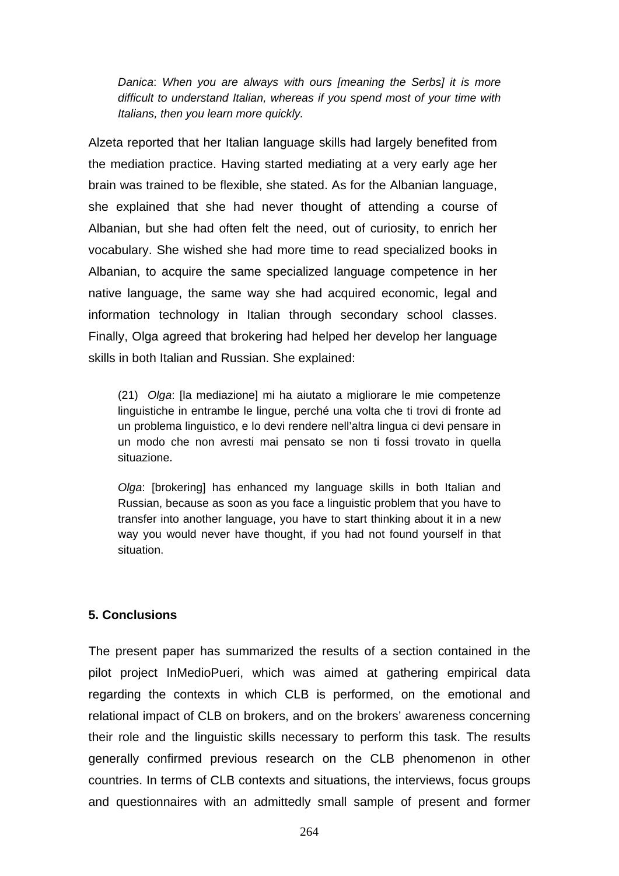*Danica*: *When you are always with ours [meaning the Serbs] it is more difficult to understand Italian, whereas if you spend most of your time with Italians, then you learn more quickly.* 

Alzeta reported that her Italian language skills had largely benefited from the mediation practice. Having started mediating at a very early age her brain was trained to be flexible, she stated. As for the Albanian language, she explained that she had never thought of attending a course of Albanian, but she had often felt the need, out of curiosity, to enrich her vocabulary. She wished she had more time to read specialized books in Albanian, to acquire the same specialized language competence in her native language, the same way she had acquired economic, legal and information technology in Italian through secondary school classes. Finally, Olga agreed that brokering had helped her develop her language skills in both Italian and Russian. She explained:

(21) *Olga*: [la mediazione] mi ha aiutato a migliorare le mie competenze linguistiche in entrambe le lingue, perché una volta che ti trovi di fronte ad un problema linguistico, e lo devi rendere nell'altra lingua ci devi pensare in un modo che non avresti mai pensato se non ti fossi trovato in quella situazione.

*Olga*: [brokering] has enhanced my language skills in both Italian and Russian, because as soon as you face a linguistic problem that you have to transfer into another language, you have to start thinking about it in a new way you would never have thought, if you had not found yourself in that situation.

#### **5. Conclusions**

The present paper has summarized the results of a section contained in the pilot project InMedioPueri, which was aimed at gathering empirical data regarding the contexts in which CLB is performed, on the emotional and relational impact of CLB on brokers, and on the brokers' awareness concerning their role and the linguistic skills necessary to perform this task. The results generally confirmed previous research on the CLB phenomenon in other countries. In terms of CLB contexts and situations, the interviews, focus groups and questionnaires with an admittedly small sample of present and former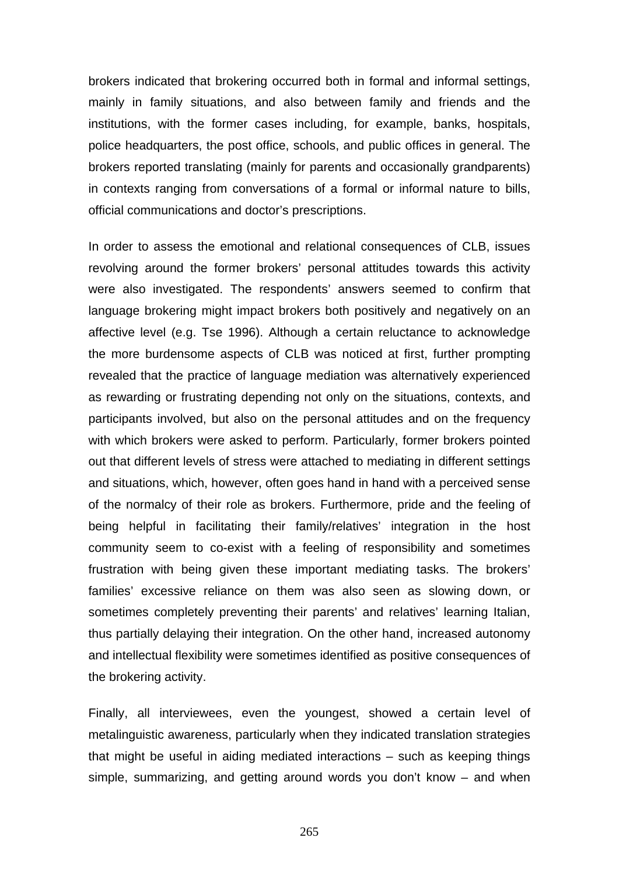brokers indicated that brokering occurred both in formal and informal settings, mainly in family situations, and also between family and friends and the institutions, with the former cases including, for example, banks, hospitals, police headquarters, the post office, schools, and public offices in general. The brokers reported translating (mainly for parents and occasionally grandparents) in contexts ranging from conversations of a formal or informal nature to bills, official communications and doctor's prescriptions.

In order to assess the emotional and relational consequences of CLB, issues revolving around the former brokers' personal attitudes towards this activity were also investigated. The respondents' answers seemed to confirm that language brokering might impact brokers both positively and negatively on an affective level (e.g. Tse 1996). Although a certain reluctance to acknowledge the more burdensome aspects of CLB was noticed at first, further prompting revealed that the practice of language mediation was alternatively experienced as rewarding or frustrating depending not only on the situations, contexts, and participants involved, but also on the personal attitudes and on the frequency with which brokers were asked to perform. Particularly, former brokers pointed out that different levels of stress were attached to mediating in different settings and situations, which, however, often goes hand in hand with a perceived sense of the normalcy of their role as brokers. Furthermore, pride and the feeling of being helpful in facilitating their family/relatives' integration in the host community seem to co-exist with a feeling of responsibility and sometimes frustration with being given these important mediating tasks. The brokers' families' excessive reliance on them was also seen as slowing down, or sometimes completely preventing their parents' and relatives' learning Italian, thus partially delaying their integration. On the other hand, increased autonomy and intellectual flexibility were sometimes identified as positive consequences of the brokering activity.

Finally, all interviewees, even the youngest, showed a certain level of metalinguistic awareness, particularly when they indicated translation strategies that might be useful in aiding mediated interactions – such as keeping things simple, summarizing, and getting around words you don't know – and when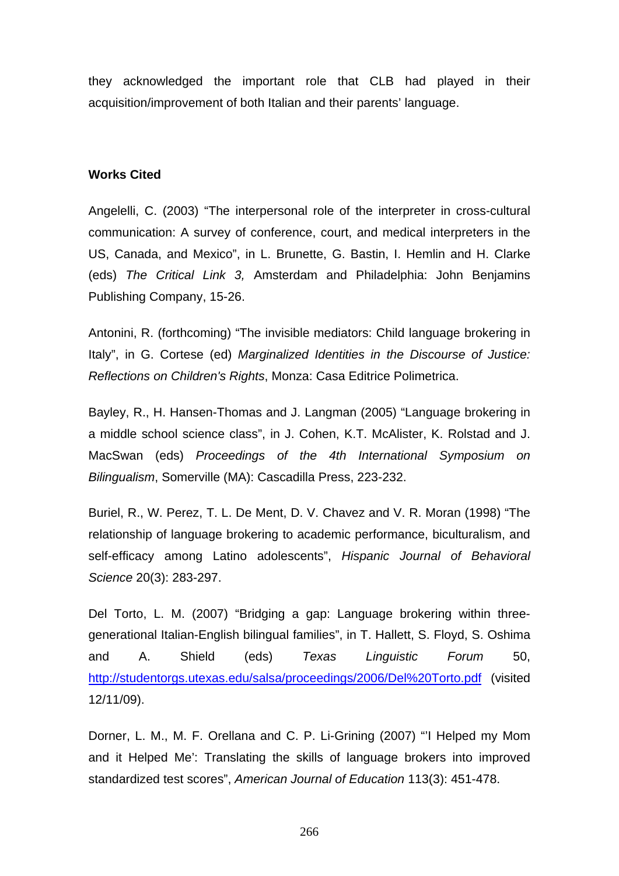they acknowledged the important role that CLB had played in their acquisition/improvement of both Italian and their parents' language.

#### **Works Cited**

Angelelli, C. (2003) "The interpersonal role of the interpreter in cross-cultural communication: A survey of conference, court, and medical interpreters in the US, Canada, and Mexico", in L. Brunette, G. Bastin, I. Hemlin and H. Clarke (eds) *The Critical Link 3,* Amsterdam and Philadelphia: John Benjamins Publishing Company, 15-26.

Antonini, R. (forthcoming) "The invisible mediators: Child language brokering in Italy", in G. Cortese (ed) *Marginalized Identities in the Discourse of Justice: Reflections on Children's Rights*, Monza: Casa Editrice Polimetrica.

Bayley, R., H. Hansen-Thomas and J. Langman (2005) "Language brokering in a middle school science class", in J. Cohen, K.T. McAlister, K. Rolstad and J. MacSwan (eds) *Proceedings of the 4th International Symposium on Bilingualism*, Somerville (MA): Cascadilla Press, 223-232.

Buriel, R., W. Perez, T. L. De Ment, D. V. Chavez and V. R. Moran (1998) "The relationship of language brokering to academic performance, biculturalism, and self-efficacy among Latino adolescents", *Hispanic Journal of Behavioral Science* 20(3): 283-297.

Del Torto, L. M. (2007) "Bridging a gap: Language brokering within threegenerational Italian-English bilingual families", in T. Hallett, S. Floyd, S. Oshima and A. Shield (eds) *Texas Linguistic Forum* 50, <http://studentorgs.utexas.edu/salsa/proceedings/2006/Del%20Torto.pdf> (visited 12/11/09).

Dorner, L. M., M. F. Orellana and C. P. Li-Grining (2007) "'I Helped my Mom and it Helped Me': Translating the skills of language brokers into improved standardized test scores", *American Journal of Education* 113(3): 451-478.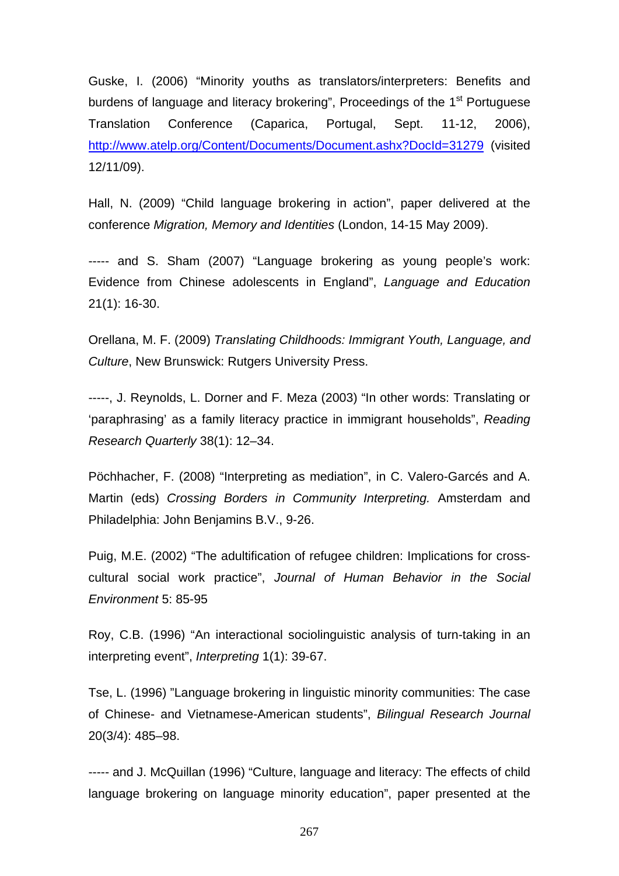Guske, I. (2006) "Minority youths as translators/interpreters: Benefits and burdens of language and literacy brokering", Proceedings of the 1<sup>st</sup> Portuguese Translation Conference (Caparica, Portugal, Sept. 11-12, 2006), <http://www.atelp.org/Content/Documents/Document.ashx?DocId=31279> (visited 12/11/09).

Hall, N. (2009) "Child language brokering in action", paper delivered at the conference *Migration, Memory and Identities* (London, 14-15 May 2009).

----- and S. Sham (2007) "Language brokering as young people's work: Evidence from Chinese adolescents in England", *Language and Education* 21(1): 16-30.

Orellana, M. F. (2009) *Translating Childhoods: Immigrant Youth, Language, and Culture*, New Brunswick: Rutgers University Press.

-----, J. Reynolds, L. Dorner and F. Meza (2003) "In other words: Translating or 'paraphrasing' as a family literacy practice in immigrant households", *Reading Research Quarterly* 38(1): 12–34.

Pöchhacher, F. (2008) "Interpreting as mediation", in C. Valero-Garcés and A. Martin (eds) *Crossing Borders in Community Interpreting.* Amsterdam and Philadelphia: John Benjamins B.V., 9-26.

Puig, M.E. (2002) "The adultification of refugee children: Implications for crosscultural social work practice", *Journal of Human Behavior in the Social Environment* 5: 85-95

Roy, C.B. (1996) "An interactional sociolinguistic analysis of turn-taking in an interpreting event", *Interpreting* 1(1): 39-67.

Tse, L. (1996) "Language brokering in linguistic minority communities: The case of Chinese- and Vietnamese-American students", *Bilingual Research Journal*  20(3/4): 485–98.

----- and J. McQuillan (1996) "Culture, language and literacy: The effects of child language brokering on language minority education", paper presented at the